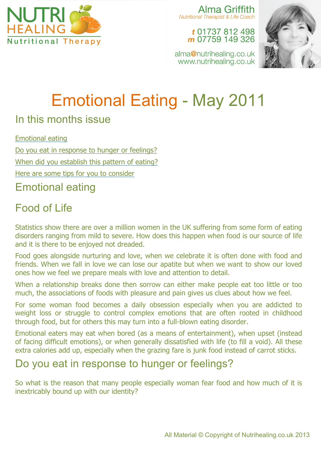

Alma Griffith **Nutritional Therapist & Life Coach** 

t 01737 812 498 m 07759 149 326



alma@nutrihealing.co.uk www.nutrihealing.co.uk

# Emotional Eating - May 2011

### In this months issue

Emotional eating

Do you eat in response to hunger or feelings?

When did you establish this pattern of eating?

Here are some tips for you to consider

## Emotional eating

# Food of Life

Statistics show there are over a million women in the UK suffering from some form of eating disorders ranging from mild to severe. How does this happen when food is our source of life and it is there to be enjoyed not dreaded.

Food goes alongside nurturing and love, when we celebrate it is often done with food and friends. When we fall in love we can lose our apatite but when we want to show our loved ones how we feel we prepare meals with love and attention to detail.

When a relationship breaks done then sorrow can either make people eat too little or too much, the associations of foods with pleasure and pain gives us clues about how we feel.

For some woman food becomes a daily obsession especially when you are addicted to weight loss or struggle to control complex emotions that are often rooted in childhood through food, but for others this may turn into a full-blown eating disorder.

Emotional eaters may eat when bored (as a means of entertainment), when upset (instead of facing difficult emotions), or when generally dissatisfied with life (to fill a void). All these extra calories add up, especially when the grazing fare is junk food instead of carrot sticks.

# Do you eat in response to hunger or feelings?

So what is the reason that many people especially woman fear food and how much of it is inextricably bound up with our identity?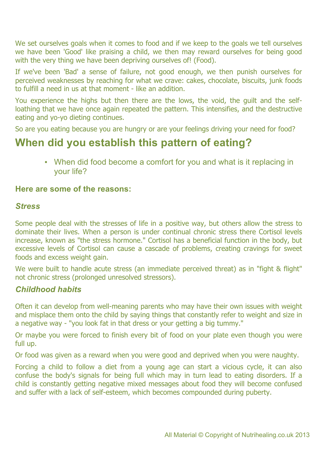We set ourselves goals when it comes to food and if we keep to the goals we tell ourselves we have been 'Good' like praising a child, we then may reward ourselves for being good with the very thing we have been depriving ourselves of! (Food).

If we've been 'Bad' a sense of failure, not good enough, we then punish ourselves for perceived weaknesses by reaching for what we crave: cakes, chocolate, biscuits, junk foods to fulfill a need in us at that moment - like an addition.

You experience the highs but then there are the lows, the void, the guilt and the selfloathing that we have once again repeated the pattern. This intensifies, and the destructive eating and yo-yo dieting continues.

So are you eating because you are hungry or are your feelings driving your need for food?

## **When did you establish this pattern of eating?**

• When did food become a comfort for you and what is it replacing in your life?

#### **Here are some of the reasons:**

#### *Stress*

Some people deal with the stresses of life in a positive way, but others allow the stress to dominate their lives. When a person is under continual chronic stress there Cortisol levels increase, known as "the stress hormone." Cortisol has a beneficial function in the body, but excessive levels of Cortisol can cause a cascade of problems, creating cravings for sweet foods and excess weight gain.

We were built to handle acute stress (an immediate perceived threat) as in "fight & flight" not chronic stress (prolonged unresolved stressors).

#### *Childhood habits*

Often it can develop from well-meaning parents who may have their own issues with weight and misplace them onto the child by saying things that constantly refer to weight and size in a negative way - "you look fat in that dress or your getting a big tummy."

Or maybe you were forced to finish every bit of food on your plate even though you were full up.

Or food was given as a reward when you were good and deprived when you were naughty.

Forcing a child to follow a diet from a young age can start a vicious cycle, it can also confuse the body's signals for being full which may in turn lead to eating disorders. If a child is constantly getting negative mixed messages about food they will become confused and suffer with a lack of self-esteem, which becomes compounded during puberty.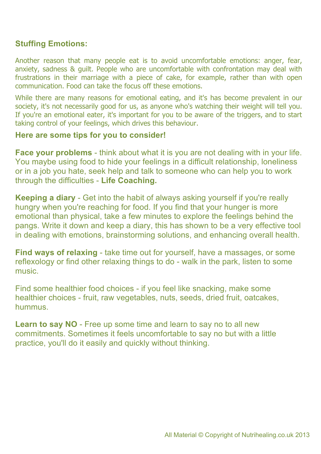#### **Stuffing Emotions:**

Another reason that many people eat is to avoid uncomfortable emotions: anger, fear, anxiety, sadness & guilt. People who are uncomfortable with confrontation may deal with frustrations in their marriage with a piece of cake, for example, rather than with open communication. Food can take the focus off these emotions.

While there are many reasons for emotional eating, and it's has become prevalent in our society, it's not necessarily good for us, as anyone who's watching their weight will tell you. If you're an emotional eater, it's important for you to be aware of the triggers, and to start taking control of your feelings, which drives this behaviour.

#### **Here are some tips for you to consider!**

**Face your problems** - think about what it is you are not dealing with in your life. You maybe using food to hide your feelings in a difficult relationship, loneliness or in a job you hate, seek help and talk to someone who can help you to work through the difficulties - **Life Coaching.**

**Keeping a diary** - Get into the habit of always asking yourself if you're really hungry when you're reaching for food. If you find that your hunger is more emotional than physical, take a few minutes to explore the feelings behind the pangs. Write it down and keep a diary, this has shown to be a very effective tool in dealing with emotions, brainstorming solutions, and enhancing overall health.

**Find ways of relaxing** - take time out for yourself, have a massages, or some reflexology or find other relaxing things to do - walk in the park, listen to some music.

Find some healthier food choices - if you feel like snacking, make some healthier choices - fruit, raw vegetables, nuts, seeds, dried fruit, oatcakes, hummus.

**Learn to say NO** - Free up some time and learn to say no to all new commitments. Sometimes it feels uncomfortable to say no but with a little practice, you'll do it easily and quickly without thinking.